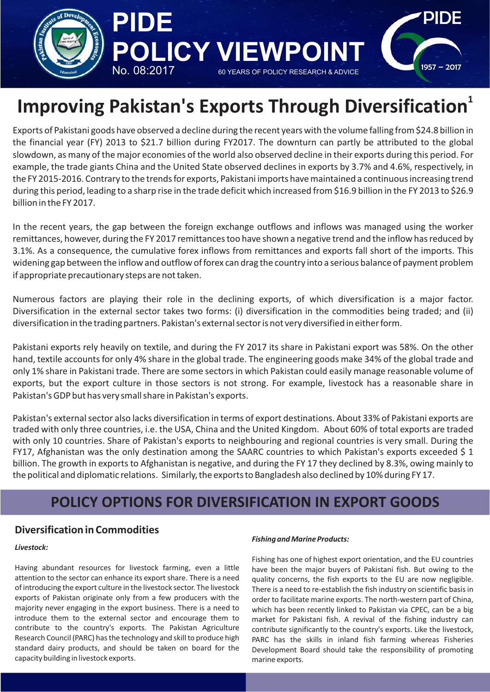

# **1 Improving Pakistan's Exports Through Diversification**

Exports of Pakistani goods have observed a decline during the recent years with the volume falling from \$24.8 billion in the financial year (FY) 2013 to \$21.7 billion during FY2017. The downturn can partly be attributed to the global slowdown, as many of the major economies of the world also observed decline in their exports during this period. For example, the trade giants China and the United State observed declines in exports by 3.7% and 4.6%, respectively, in the FY 2015-2016. Contrary to the trends for exports, Pakistani imports have maintained a continuous increasing trend during this period, leading to a sharp rise in the trade deficit which increased from \$16.9 billion in the FY 2013 to \$26.9 billion in the FY 2017.

In the recent years, the gap between the foreign exchange outflows and inflows was managed using the worker remittances, however, during the FY 2017 remittances too have shown a negative trend and the inflow has reduced by 3.1%. As a consequence, the cumulative forex inflows from remittances and exports fall short of the imports. This widening gap between the inflow and outflow of forex can drag the country into a serious balance of payment problem if appropriate precautionary steps are not taken.

Numerous factors are playing their role in the declining exports, of which diversification is a major factor. Diversification in the external sector takes two forms: (i) diversification in the commodities being traded; and (ii) diversification in the trading partners. Pakistan's external sector is not very diversified in either form.

Pakistani exports rely heavily on textile, and during the FY 2017 its share in Pakistani export was 58%. On the other hand, textile accounts for only 4% share in the global trade. The engineering goods make 34% of the global trade and only 1% share in Pakistani trade. There are some sectors in which Pakistan could easily manage reasonable volume of exports, but the export culture in those sectors is not strong. For example, livestock has a reasonable share in Pakistan's GDP but has very small share in Pakistan's exports.

Pakistan's external sector also lacks diversification in terms of export destinations. About 33% of Pakistani exports are traded with only three countries, i.e. the USA, China and the United Kingdom. About 60% of total exports are traded with only 10 countries. Share of Pakistan's exports to neighbouring and regional countries is very small. During the FY17, Afghanistan was the only destination among the SAARC countries to which Pakistan's exports exceeded \$ 1 billion. The growth in exports to Afghanistan is negative, and during the FY 17 they declined by 8.3%, owing mainly to the political and diplomatic relations. Similarly, the exports to Bangladesh also declined by 10% during FY 17.

# **POLICY OPTIONS FOR DIVERSIFICATION IN EXPORT GOODS**

# **Diversification in Commodities**

### *Livestock:*

Having abundant resources for livestock farming, even a little attention to the sector can enhance its export share. There is a need of introducing the export culture in the livestock sector. The livestock exports of Pakistan originate only from a few producers with the majority never engaging in the export business. There is a need to introduce them to the external sector and encourage them to contribute to the country's exports. The Pakistan Agriculture Research Council (PARC) has the technology and skill to produce high standard dairy products, and should be taken on board for the capacity building in livestock exports.

### *Fishing and Marine Products:*

Fishing has one of highest export orientation, and the EU countries have been the major buyers of Pakistani fish. But owing to the quality concerns, the fish exports to the EU are now negligible. There is a need to re-establish the fish industry on scientific basis in order to facilitate marine exports. The north-western part of China, which has been recently linked to Pakistan via CPEC, can be a big market for Pakistani fish. A revival of the fishing industry can contribute significantly to the country's exports. Like the livestock, PARC has the skills in inland fish farming whereas Fisheries Development Board should take the responsibility of promoting marine exports.